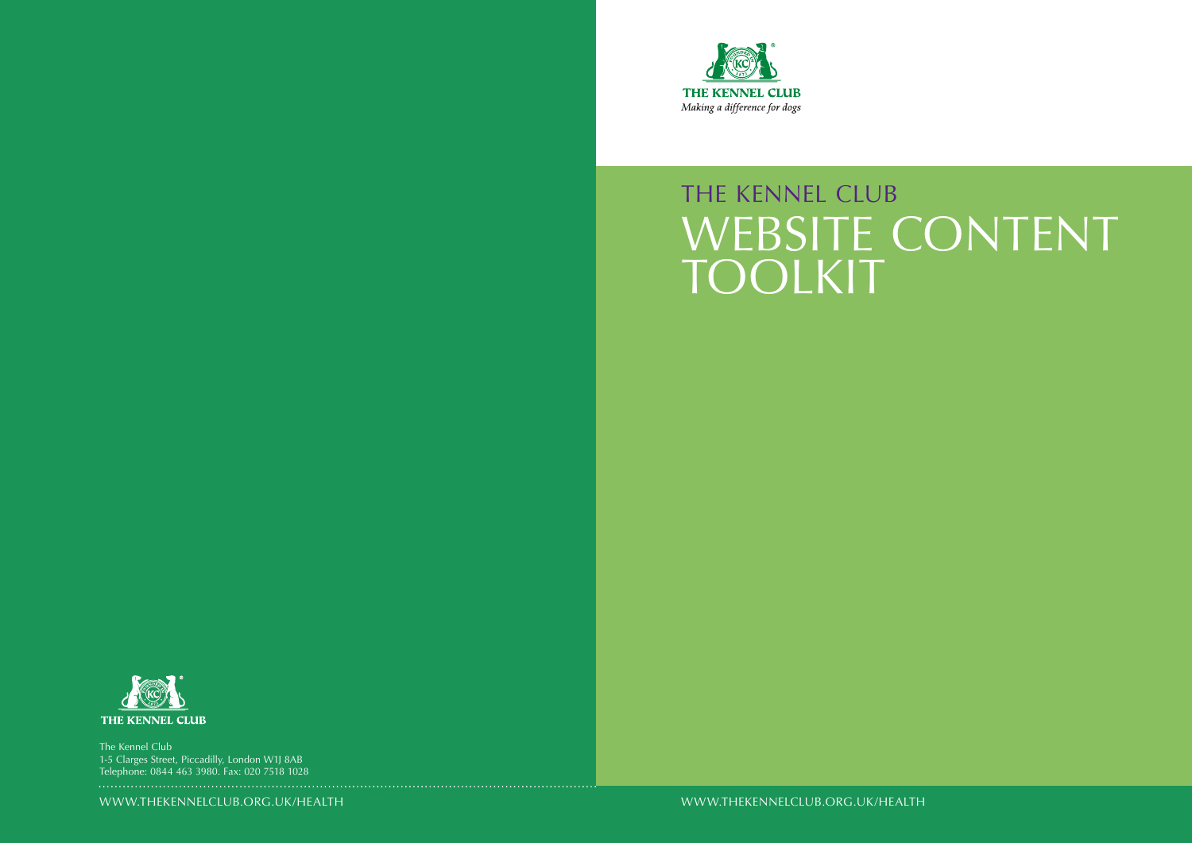WWW.THEKENNELCLUB.ORG.UK/HEALTH



# THE KENNEL CLUB WEBSITE CONTENT TOOLKIT



WWW.THEKENNELCLUB.ORG.UK/HEALTH

The Kennel Club 1-5 Clarges Street, Piccadilly, London W1J 8AB Telephone: 0844 463 3980. Fax: 020 7518 1028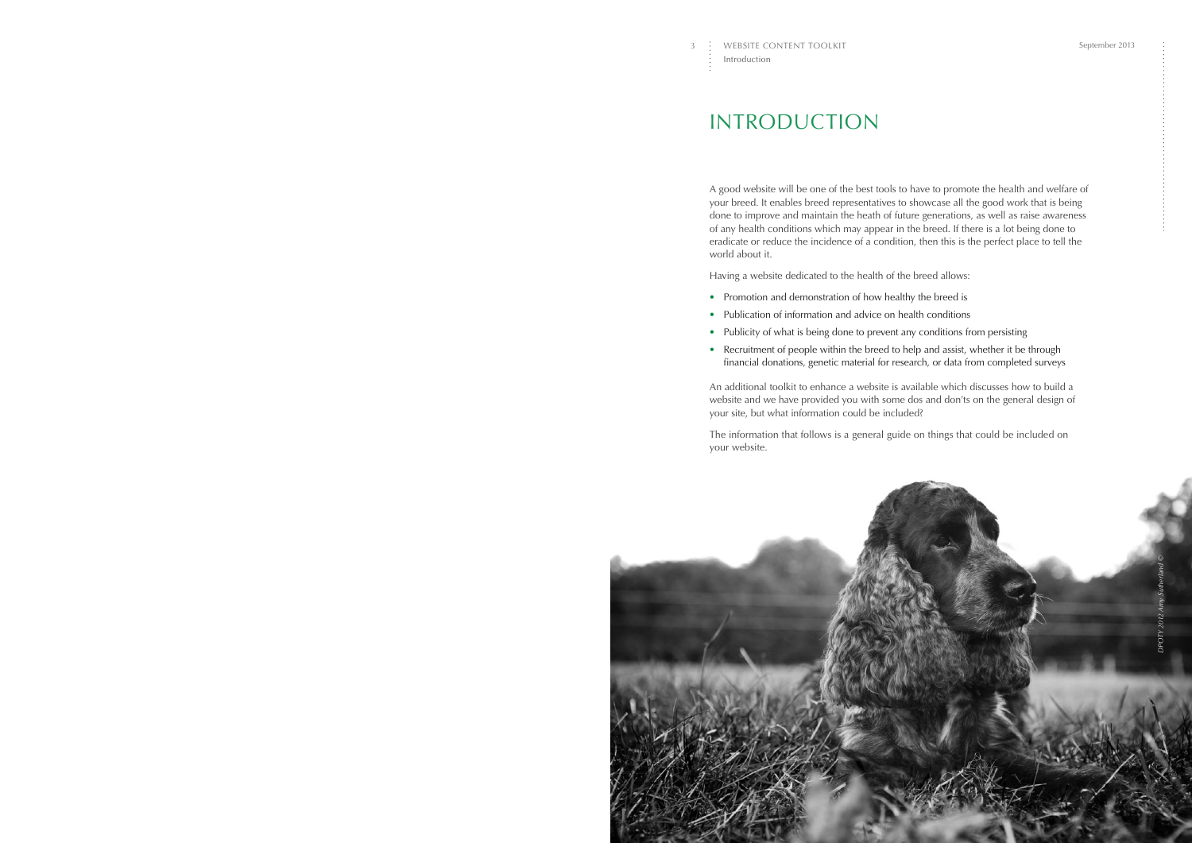# INTRODUCTION

A good website will be one of the best tools to have to promote the health and welfare of your breed. It enables breed representatives to showcase all the good work that is being done to improve and maintain the heath of future generations, as well as raise awareness of any health conditions which may appear in the breed. If there is a lot being done to eradicate or reduce the incidence of a condition, then this is the perfect place to tell the world about it.

Having a website dedicated to the health of the breed allows:

- Promotion and demonstration of how healthy the breed is
- Publication of information and advice on health conditions
- Publicity of what is being done to prevent any conditions from persisting
- Recruitment of people within the breed to help and assist, whether it be through financial donations, genetic material for research, or data from completed surveys

An additional toolkit to [enhance a website](https://www.thekennelclub.org.uk/media/356229/website_enhancement_toolkit.pdf?utm_source=BHC_WebContent&utm_medium=P3EnhanceAWebsite&utm_campaign=BHC_WebContent) is available which discusses how to build a website and we have provided you with some dos and don'ts on the general design of your site, but what information could be included?

The information that follows is a general guide on things that could be included on your website.



- 
- 
- 
-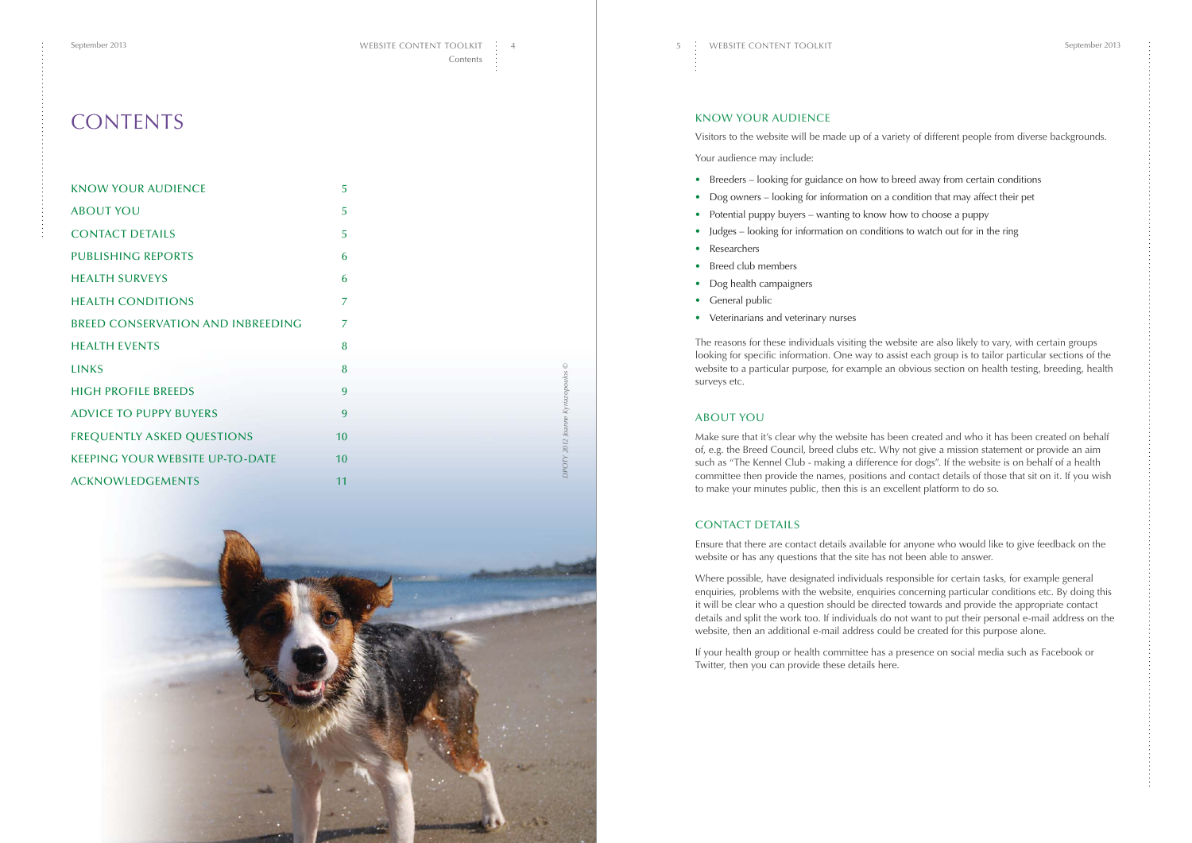| <b>CONTENTS</b> |  |
|-----------------|--|
|-----------------|--|

| <b>KNOW YOUR AUDIENCE</b>                | 5              |
|------------------------------------------|----------------|
| <b>ABOUT YOU</b>                         | 5              |
| <b>CONTACT DETAILS</b>                   | 5              |
| <b>PUBLISHING REPORTS</b>                | 6              |
| <b>HEALTH SURVEYS</b>                    | 6              |
| <b>HEALTH CONDITIONS</b>                 | $\overline{7}$ |
| <b>BREED CONSERVATION AND INBREEDING</b> | $\overline{7}$ |
| <b>HEALTH EVENTS</b>                     | 8              |
| <b>LINKS</b>                             | 8              |
| <b>HIGH PROFILE BREEDS</b>               | 9              |
| <b>ADVICE TO PUPPY BUYERS</b>            | 9              |
| <b>FREQUENTLY ASKED QUESTIONS</b>        | 10             |
| <b>KEEPING YOUR WEBSITE UP-TO-DATE</b>   | 10             |
| <b>ACKNOWLEDGEMENTS</b>                  | 11             |



### KNOW YOUR AUDIENCE

Visitors to the website will be made up of a variety of different people from diverse backgrounds.

Your audience may include:

- Breeders looking for guidance on how to breed away from certain conditions
- Dog owners looking for information on a condition that may affect their pet
- Potential puppy buyers wanting to know how to choose a puppy
- Judges looking for information on conditions to watch out for in the ring
- Researchers
- Breed club members
- Dog health campaigners
- General public
- Veterinarians and veterinary nurses

The reasons for these individuals visiting the website are also likely to vary, with certain groups looking for specific information. One way to assist each group is to tailor particular sections of the website to a particular purpose, for example an obvious section on health testing, breeding, health surveys etc.

#### ABOUT YOU

Make sure that it's clear why the website has been created and who it has been created on behalf of, e.g. the Breed Council, breed clubs etc. Why not give a mission statement or provide an aim such as "The Kennel Club - making a difference for dogs". If the website is on behalf of a health committee then provide the names, positions and contact details of those that sit on it. If you wish to make your minutes public, then this is an excellent platform to do so.

#### CONTACT DETAILS

Ensure that there are contact details available for anyone who would like to give feedback on the website or has any questions that the site has not been able to answer.

Where possible, have designated individuals responsible for certain tasks, for example general enquiries, problems with the website, enquiries concerning particular conditions etc. By doing this it will be clear who a question should be directed towards and provide the appropriate contact details and split the work too. If individuals do not want to put their personal e-mail address on the website, then an additional e-mail address could be created for this purpose alone.

If your health group or health committee has a presence on social media such as Facebook or Twitter, then you can provide these details here.

*DPOTY 2012 Joanne Kyriazopoulos ©*

 $\odot$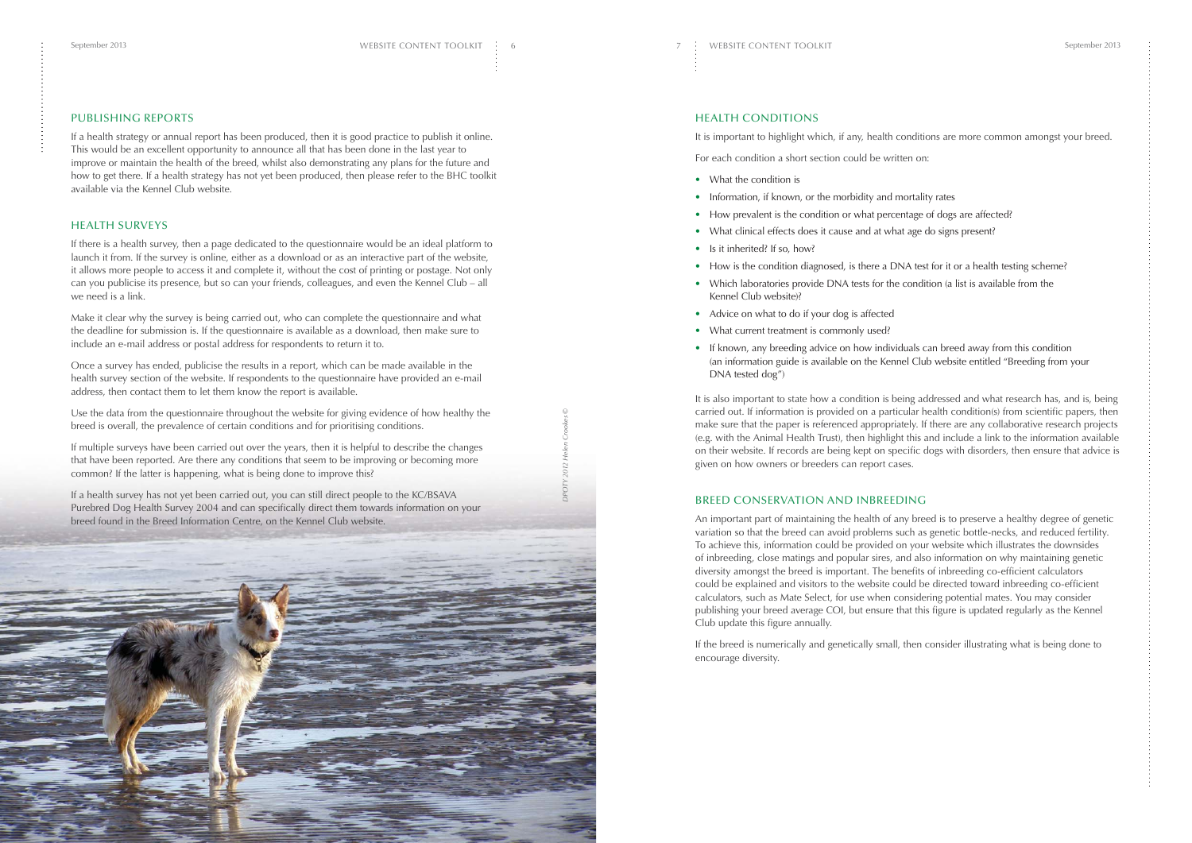#### PUBLISHING REPORTS

If a health strategy or annual report has been produced, then it is good practice to publish it online. This would be an excellent opportunity to announce all that has been done in the last year to improve or maintain the health of the breed, whilst also demonstrating any plans for the future and how to get there. If a health strategy has not yet been produced, then please refer to the BHC toolkit available via the [Kennel Club website](http://www.thekennelclub.org.uk/?utm_source=BHC_WebContent&utm_medium=P6Para1KC&utm_campaign=BHC_WebContent).

#### HEALTH SURVEYS

If there is a health survey, then a page dedicated to the questionnaire would be an ideal platform to launch it from. If the survey is online, either as a download or as an interactive part of the website, it allows more people to access it and complete it, without the cost of printing or postage. Not only can you publicise its presence, but so can your friends, colleagues, and even the [Kennel Club](http://www.thekennelclub.org.uk/?utm_source=BHC_WebContent&utm_medium=P6Para2KC&utm_campaign=BHC_WebContent) – all we need is a link.

Make it clear why the survey is being carried out, who can complete the questionnaire and what the deadline for submission is. If the questionnaire is available as a download, then make sure to include an e-mail address or postal address for respondents to return it to.

Once a survey has ended, publicise the results in a report, which can be made available in the health survey section of the website. If respondents to the questionnaire have provided an e-mail address, then contact them to let them know the report is available.

Use the data from the questionnaire throughout the website for giving evidence of how healthy the breed is overall, the prevalence of certain conditions and for prioritising conditions.

- What the condition is
- Information, if known, or the morbidity and mortality rates
- How prevalent is the condition or what percentage of dogs are affected?
- What clinical effects does it cause and at what age do signs present?
- Is it inherited? If so, how?
- How is the condition diagnosed, is there a [DNA test](https://www.thekennelclub.org.uk/media/14688/dnatestsworldwide.pdf?utm_source=BHC_WebContent&utm_medium=P7DNATests&utm_campaign=BHC_WebContent) for it or a health testing scheme?
- Which laboratories provide DNA tests for the condition (a list is available from the Kennel Club website)?
- Advice on what to do if your dog is affected
- What current treatment is commonly used?
- If known, any breeding advice on how individuals can breed away from this condition [\(an information guide is available on the Kennel Club website entitled "Breeding from your](http://www.thekennelclub.org.uk/media/324433/breeding_from_your_dna_tested_dog_web.pdf?utm_source=BHC_WebContent&utm_medium=P7ParaPnt8&utm_campaign=BHC_WebContent) DNA tested dog")

If multiple surveys have been carried out over the years, then it is helpful to describe the changes that have been reported. Are there any conditions that seem to be improving or becoming more common? If the latter is happening, what is being done to improve this?

[If a health survey has not yet been carried out, you can still direct people to the KC/BSAVA](http://www.thekennelclub.org.uk/vets-researchers/purebred-dog-health-survey-results/?utm_source=BHC_WebContent&utm_medium=P6Para7KCBSAVA&utm_campaign=BHC_WebContent)

#### HEALTH CONDITIONS

It is important to highlight which, if any, health conditions are more common amongst your breed.

For each condition a short section could be written on:



It is also important to state how a condition is being addressed and what research has, and is, being carried out. If information is provided on a particular health condition(s) from scientific papers, then make sure that the paper is referenced appropriately. If there are any collaborative research projects (e.g. with the Animal Health Trust), then highlight this and include a link to the information available on their website. If records are being kept on specific dogs with disorders, then ensure that advice is given on how owners or breeders can report cases.

## BREED CONSERVATION AND INBREEDING

An important part of maintaining the health of any breed is to preserve a healthy degree of genetic variation so that the breed can avoid problems such as genetic bottle-necks, and reduced fertility. To achieve this, information could be provided on your website which illustrates the downsides of inbreeding, close matings and popular sires, and also information on why maintaining genetic diversity amongst the breed is important. The benefits of inbreeding co-efficient calculators could be explained and visitors to the website could be directed toward inbreeding co-efficient calculators, such as [Mate Select](http://www.thekennelclub.org.uk/services/public/mateselect/Default.aspx?utm_source=BHC_WebContent&utm_medium=P7MateSelect&utm_campaign=BHC_WebContent), for use when considering potential mates. You may consider publishing your [breed average COI,](http://www.thekennelclub.org.uk/services/public/mateselect/breed/Default.aspx?utm_source=BHC_WebContent&utm_medium=P7BreedAverageCOI&utm_campaign=BHC_WebContent) but ensure that this figure is updated regularly as the Kennel Club update this figure annually.

If the breed is numerically and genetically small, then consider illustrating what is being done to encourage diversity.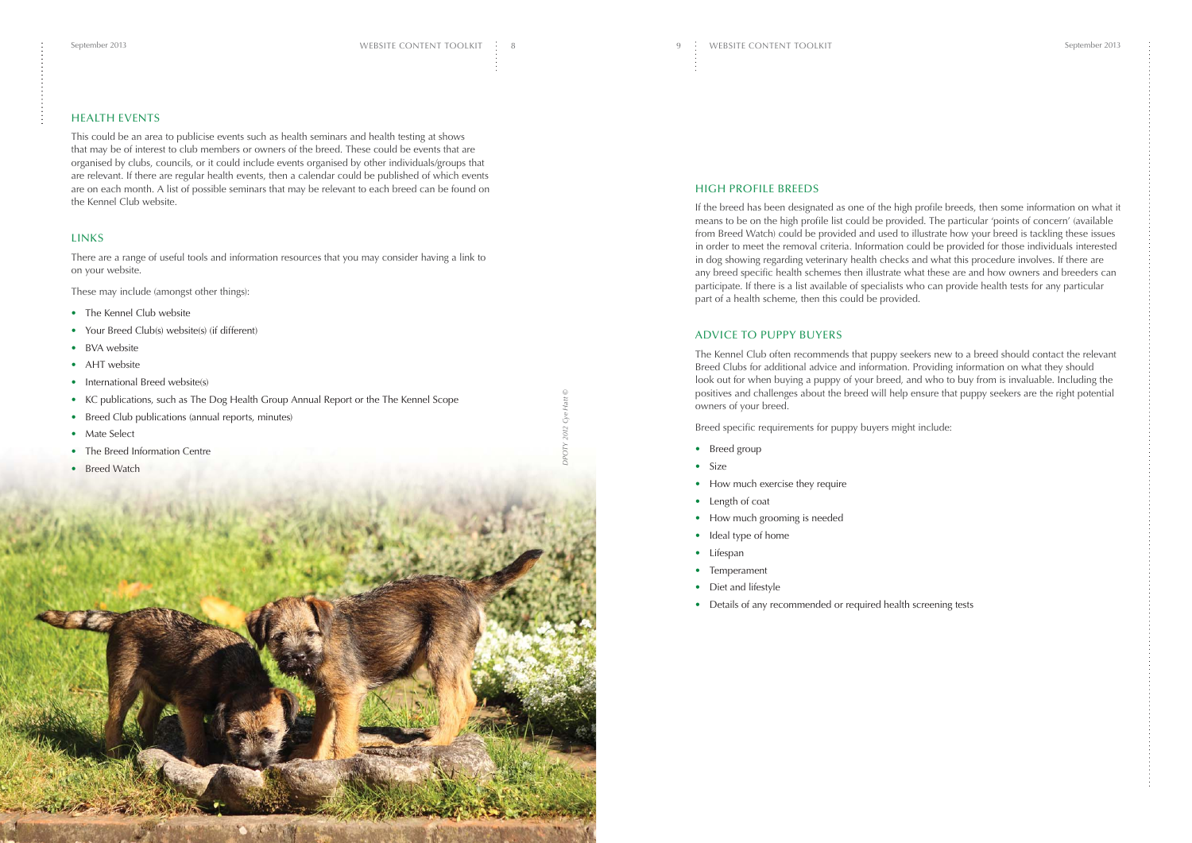#### HIGH PROFILE BREEDS

If the breed has been designated as one of the [high profile breeds,](http://www.thekennelclub.org.uk/services/public/breed/Default.aspx?utm_source=BHC_WebContent&utm_medium=P9HPB&utm_campaign=BHC_WebContent) then some information on what it means to be on the high profile list could be provided. The particular 'points of concern' (available from [Breed Watch\)](http://www.thekennelclub.org.uk/services/public/breed/watch/Default.aspx?utm_source=BHC_WebContent&utm_medium=P9BreedWatch&utm_campaign=BHC_WebContent) could be provided and used to illustrate how your breed is tackling these issues in order to meet the removal criteria. Information could be provided for those individuals interested in dog showing regarding veterinary health checks and what this procedure involves. If there are any [breed specific health schemes](http://www.thekennelclub.org.uk/health/health-information-and-resources/dna-testing-and-tools/dna-screening-schemes-and-results/?utm_source=BHC_WebContent&utm_medium=P9BreedSpecificHealthSchemes&utm_campaign=BHC_WebContent) then illustrate what these are and how owners and breeders can participate. If there is a list available of specialists who can provide health tests for any particular part of a health scheme, then this could be provided.

- Breed group
- Size

#### ADVICE TO PUPPY BUYERS

The Kennel Club often recommends that puppy seekers new to a breed should contact the relevant Breed Clubs for additional advice and information. Providing information on what they should look out for when buying a puppy of your breed, and who to buy from is invaluable. Including the positives and challenges about the breed will help ensure that puppy seekers are the right potential owners of your breed.

Breed specific requirements for puppy buyers might include:

- [The Kennel Club](http://www.thekennelclub.org.uk/?utm_source=BHC_WebContent&utm_medium=P8Pnt1KC&utm_campaign=BHC_WebContent) website
- Your Breed Club(s) website(s) (if different)
- [BVA website](http://www.bva.co.uk/?utm_source=BHC_WebContent&utm_medium=P8Pnt3BVA&utm_campaign=BHC_WebContent)
- [AHT website](http://www.aht.org.uk/?utm_source=BHC_WebContent&utm_medium=P8Pnt4AHT&utm_campaign=BHC_WebContent)
- International Breed website(s)
- [KC publications,](http://www.thekennelclub.org.uk/vets-researchers/kennel-club-publications-and-statistics/?utm_source=BHC_WebContent&utm_medium=P8Pnt6Publications&utm_campaign=BHC_WebContent) such as [The Dog Health Group Annual Report](http://www.thekennelclub.org.uk/vets-researchers/dog-health-group-annual-report/?utm_source=BHC_WebContent&utm_medium=P8Pnt6DHG&utm_campaign=BHC_WebContent) or the [The Kennel Scope](http://www.thekennelclub.org.uk/vets-researchers/the-kennel-scope/?utm_source=BHC_WebContent&utm_medium=P8Pnt6KennelScope&utm_campaign=BHC_WebContent)
- Breed Club publications (annual reports, minutes)
- [Mate Select](http://www.thekennelclub.org.uk/services/public/mateselect/Default.aspx?utm_source=BHC_WebContent&utm_medium=P8Pnt8MateSelect&utm_campaign=BHC_WebContent)
- The [Breed Information Centre](http://www.thekennelclub.org.uk/services/public/breed/Default.aspx?utm_source=BHC_WebContent&utm_medium=P8Pnt9BIC&utm_campaign=BHC_WebContent)
- Breed Watch

- How much exercise they require
- Length of coat
- How much grooming is needed
- Ideal type of home
- Lifespan
- Temperament
- Diet and lifestyle
- Details of any recommended or required health screening tests

#### HEALTH EVENTS

This could be an area to publicise events such as health seminars and health testing at shows that may be of interest to club members or owners of the breed. These could be events that are organised by clubs, councils, or it could include events organised by other individuals/groups that are relevant. If there are regular health events, then a calendar could be published of which events are on each month. A list of possible [seminars](http://www.thekennelclub.org.uk/health/events,-seminars-and-surveys/?utm_source=BHC_WebContent&utm_medium=P8Seminars&utm_campaign=BHC_WebContent) that may be relevant to each breed can be found on the [Kennel Club website](http://www.thekennelclub.org.uk/?utm_source=BHC_WebContent&utm_medium=P8Para1KC&utm_campaign=BHC_WebContent).

#### LINKS

There are a range of useful tools and information resources that you may consider having a link to on your website.

These may include (amongst other things):

*DPOTY 2012 Cye Hatt ©*